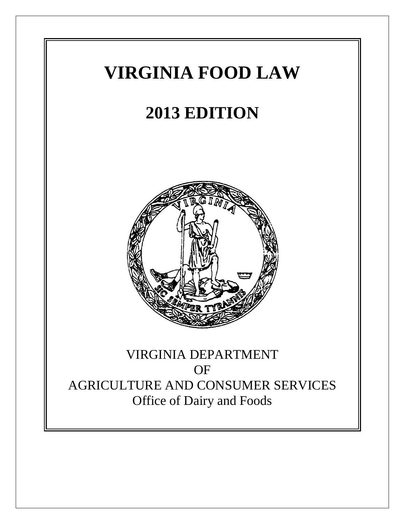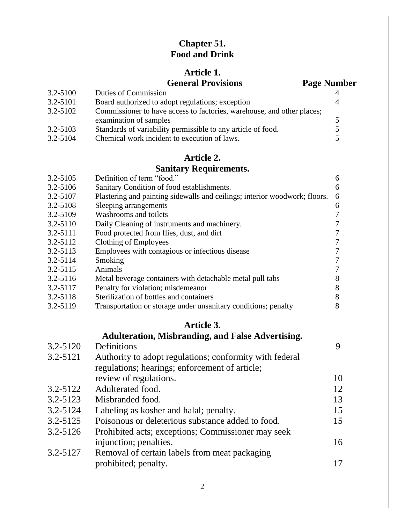# **Chapter 51. Food and Drink**

# **Article 1.**

# **General Provisions Page Number**

| $3.2 - 5100$ | <b>Duties of Commission</b>                                            |    |
|--------------|------------------------------------------------------------------------|----|
| $3.2 - 5101$ | Board authorized to adopt regulations; exception                       |    |
| $3.2 - 5102$ | Commissioner to have access to factories, warehouse, and other places; |    |
|              | examination of samples                                                 | 5. |
| $3.2 - 5103$ | Standards of variability permissible to any article of food.           |    |
| 3.2-5104     | Chemical work incident to execution of laws.                           | 5. |

# **Article 2.**

# **Sanitary Requirements.**

| 3.2-5105     | Definition of term "food."                                                 | 6              |
|--------------|----------------------------------------------------------------------------|----------------|
| 3.2-5106     | Sanitary Condition of food establishments.                                 | 6              |
| 3.2-5107     | Plastering and painting sidewalls and ceilings; interior woodwork; floors. | 6              |
| 3.2-5108     | Sleeping arrangements                                                      | 6              |
| 3.2-5109     | Washrooms and toilets                                                      | $\overline{7}$ |
| $3.2 - 5110$ | Daily Cleaning of instruments and machinery.                               | 7              |
| $3.2 - 5111$ | Food protected from flies, dust, and dirt                                  | 7              |
| $3.2 - 5112$ | Clothing of Employees                                                      | $\overline{7}$ |
| 3.2-5113     | Employees with contagious or infectious disease                            | 7              |
| 3.2-5114     | Smoking                                                                    | $\overline{7}$ |
| $3.2 - 5115$ | Animals                                                                    | 7              |
| $3.2 - 5116$ | Metal beverage containers with detachable metal pull tabs                  | 8              |
| 3.2-5117     | Penalty for violation; misdemeanor                                         | 8              |
| $3.2 - 5118$ | Sterilization of bottles and containers                                    | 8              |
| 3.2-5119     | Transportation or storage under unsanitary conditions; penalty             | 8              |

# **Article 3.**

# **Adulteration, Misbranding, and False Advertising.**

| 3.2-5120     | Definitions                                             | 9  |
|--------------|---------------------------------------------------------|----|
| 3.2-5121     | Authority to adopt regulations; conformity with federal |    |
|              | regulations; hearings; enforcement of article;          |    |
|              | review of regulations.                                  | 10 |
| $3.2 - 5122$ | Adulterated food.                                       | 12 |
| 3.2-5123     | Misbranded food.                                        | 13 |
| $3.2 - 5124$ | Labeling as kosher and halal; penalty.                  | 15 |
| $3.2 - 5125$ | Poisonous or deleterious substance added to food.       | 15 |
| $3.2 - 5126$ | Prohibited acts; exceptions; Commissioner may seek      |    |
|              | injunction; penalties.                                  | 16 |
| 3.2-5127     | Removal of certain labels from meat packaging           |    |
|              | prohibited; penalty.                                    | 17 |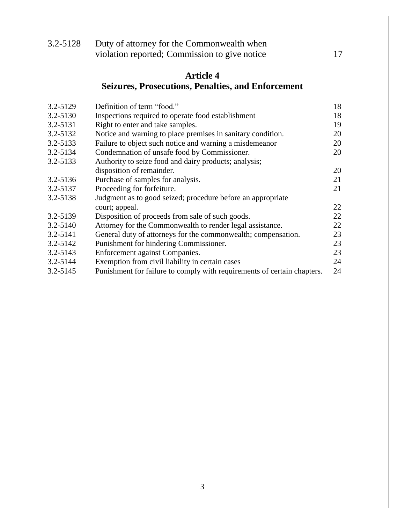| $3.2 - 5128$ | Duty of attorney for the Commonwealth when    |  |
|--------------|-----------------------------------------------|--|
|              | violation reported; Commission to give notice |  |

# **Article 4 Seizures, Prosecutions, Penalties, and Enforcement**

| 3.2-5129     | Definition of term "food."                                              | 18 |
|--------------|-------------------------------------------------------------------------|----|
| 3.2-5130     | Inspections required to operate food establishment                      | 18 |
| 3.2-5131     | Right to enter and take samples.                                        | 19 |
| 3.2-5132     | Notice and warning to place premises in sanitary condition.             | 20 |
| 3.2-5133     | Failure to object such notice and warning a misdemeanor                 | 20 |
| 3.2-5134     | Condemnation of unsafe food by Commissioner.                            | 20 |
| 3.2-5133     | Authority to seize food and dairy products; analysis;                   |    |
|              | disposition of remainder.                                               | 20 |
| 3.2-5136     | Purchase of samples for analysis.                                       | 21 |
| 3.2-5137     | Proceeding for forfeiture.                                              | 21 |
| 3.2-5138     | Judgment as to good seized; procedure before an appropriate             |    |
|              | court; appeal.                                                          | 22 |
| 3.2-5139     | Disposition of proceeds from sale of such goods.                        | 22 |
| $3.2 - 5140$ | Attorney for the Commonwealth to render legal assistance.               | 22 |
| 3.2-5141     | General duty of attorneys for the commonwealth; compensation.           | 23 |
| $3.2 - 5142$ | Punishment for hindering Commissioner.                                  | 23 |
| $3.2 - 5143$ | Enforcement against Companies.                                          | 23 |
| 3.2-5144     | Exemption from civil liability in certain cases                         | 24 |
| $3.2 - 5145$ | Punishment for failure to comply with requirements of certain chapters. | 24 |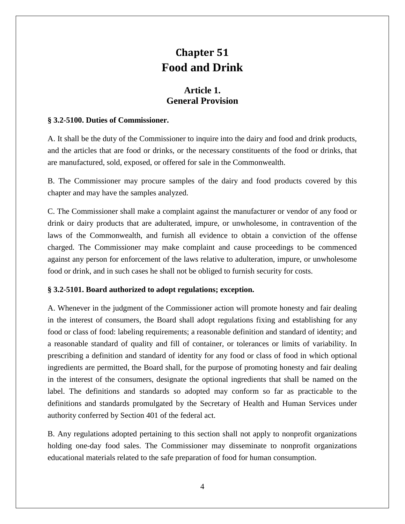# **Chapter 51 Food and Drink**

# **Article 1. General Provision**

#### **§ 3.2-5100. Duties of Commissioner.**

A. It shall be the duty of the Commissioner to inquire into the dairy and food and drink products, and the articles that are food or drinks, or the necessary constituents of the food or drinks, that are manufactured, sold, exposed, or offered for sale in the Commonwealth.

B. The Commissioner may procure samples of the dairy and food products covered by this chapter and may have the samples analyzed.

C. The Commissioner shall make a complaint against the manufacturer or vendor of any food or drink or dairy products that are adulterated, impure, or unwholesome, in contravention of the laws of the Commonwealth, and furnish all evidence to obtain a conviction of the offense charged. The Commissioner may make complaint and cause proceedings to be commenced against any person for enforcement of the laws relative to adulteration, impure, or unwholesome food or drink, and in such cases he shall not be obliged to furnish security for costs.

#### **§ 3.2-5101. Board authorized to adopt regulations; exception.**

A. Whenever in the judgment of the Commissioner action will promote honesty and fair dealing in the interest of consumers, the Board shall adopt regulations fixing and establishing for any food or class of food: labeling requirements; a reasonable definition and standard of identity; and a reasonable standard of quality and fill of container, or tolerances or limits of variability. In prescribing a definition and standard of identity for any food or class of food in which optional ingredients are permitted, the Board shall, for the purpose of promoting honesty and fair dealing in the interest of the consumers, designate the optional ingredients that shall be named on the label. The definitions and standards so adopted may conform so far as practicable to the definitions and standards promulgated by the Secretary of Health and Human Services under authority conferred by Section 401 of the federal act.

B. Any regulations adopted pertaining to this section shall not apply to nonprofit organizations holding one-day food sales. The Commissioner may disseminate to nonprofit organizations educational materials related to the safe preparation of food for human consumption.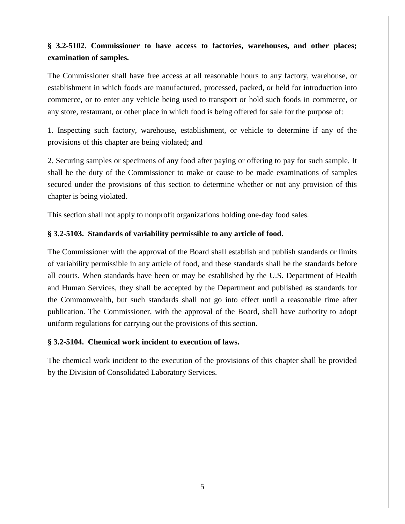# **§ 3.2-5102. Commissioner to have access to factories, warehouses, and other places; examination of samples.**

The Commissioner shall have free access at all reasonable hours to any factory, warehouse, or establishment in which foods are manufactured, processed, packed, or held for introduction into commerce, or to enter any vehicle being used to transport or hold such foods in commerce, or any store, restaurant, or other place in which food is being offered for sale for the purpose of:

1. Inspecting such factory, warehouse, establishment, or vehicle to determine if any of the provisions of this chapter are being violated; and

2. Securing samples or specimens of any food after paying or offering to pay for such sample. It shall be the duty of the Commissioner to make or cause to be made examinations of samples secured under the provisions of this section to determine whether or not any provision of this chapter is being violated.

This section shall not apply to nonprofit organizations holding one-day food sales.

# **§ 3.2-5103. Standards of variability permissible to any article of food.**

The Commissioner with the approval of the Board shall establish and publish standards or limits of variability permissible in any article of food, and these standards shall be the standards before all courts. When standards have been or may be established by the U.S. Department of Health and Human Services, they shall be accepted by the Department and published as standards for the Commonwealth, but such standards shall not go into effect until a reasonable time after publication. The Commissioner, with the approval of the Board, shall have authority to adopt uniform regulations for carrying out the provisions of this section.

# **§ 3.2-5104. Chemical work incident to execution of laws.**

The chemical work incident to the execution of the provisions of this chapter shall be provided by the Division of Consolidated Laboratory Services.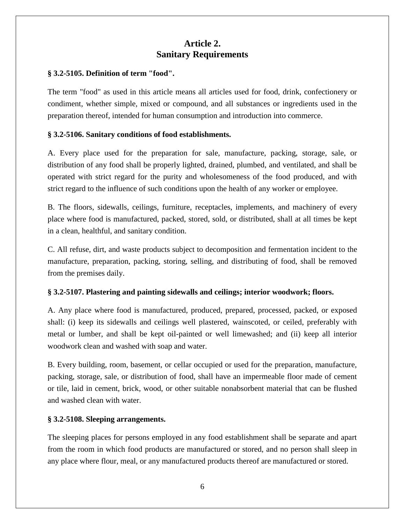# **Article 2. Sanitary Requirements**

#### **§ 3.2-5105. Definition of term "food".**

The term "food" as used in this article means all articles used for food, drink, confectionery or condiment, whether simple, mixed or compound, and all substances or ingredients used in the preparation thereof, intended for human consumption and introduction into commerce.

# **§ 3.2-5106. Sanitary conditions of food establishments.**

A. Every place used for the preparation for sale, manufacture, packing, storage, sale, or distribution of any food shall be properly lighted, drained, plumbed, and ventilated, and shall be operated with strict regard for the purity and wholesomeness of the food produced, and with strict regard to the influence of such conditions upon the health of any worker or employee.

B. The floors, sidewalls, ceilings, furniture, receptacles, implements, and machinery of every place where food is manufactured, packed, stored, sold, or distributed, shall at all times be kept in a clean, healthful, and sanitary condition.

C. All refuse, dirt, and waste products subject to decomposition and fermentation incident to the manufacture, preparation, packing, storing, selling, and distributing of food, shall be removed from the premises daily.

# **§ 3.2-5107. Plastering and painting sidewalls and ceilings; interior woodwork; floors.**

A. Any place where food is manufactured, produced, prepared, processed, packed, or exposed shall: (i) keep its sidewalls and ceilings well plastered, wainscoted, or ceiled, preferably with metal or lumber, and shall be kept oil-painted or well limewashed; and (ii) keep all interior woodwork clean and washed with soap and water.

B. Every building, room, basement, or cellar occupied or used for the preparation, manufacture, packing, storage, sale, or distribution of food, shall have an impermeable floor made of cement or tile, laid in cement, brick, wood, or other suitable nonabsorbent material that can be flushed and washed clean with water.

#### **§ 3.2-5108. Sleeping arrangements.**

The sleeping places for persons employed in any food establishment shall be separate and apart from the room in which food products are manufactured or stored, and no person shall sleep in any place where flour, meal, or any manufactured products thereof are manufactured or stored.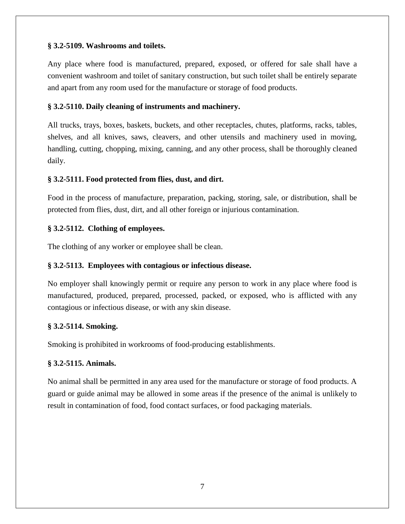#### **§ 3.2-5109. Washrooms and toilets.**

Any place where food is manufactured, prepared, exposed, or offered for sale shall have a convenient washroom and toilet of sanitary construction, but such toilet shall be entirely separate and apart from any room used for the manufacture or storage of food products.

## **§ 3.2-5110. Daily cleaning of instruments and machinery.**

All trucks, trays, boxes, baskets, buckets, and other receptacles, chutes, platforms, racks, tables, shelves, and all knives, saws, cleavers, and other utensils and machinery used in moving, handling, cutting, chopping, mixing, canning, and any other process, shall be thoroughly cleaned daily.

# **§ 3.2-5111. Food protected from flies, dust, and dirt.**

Food in the process of manufacture, preparation, packing, storing, sale, or distribution, shall be protected from flies, dust, dirt, and all other foreign or injurious contamination.

#### **§ 3.2-5112. Clothing of employees.**

The clothing of any worker or employee shall be clean.

## **§ 3.2-5113. Employees with contagious or infectious disease.**

No employer shall knowingly permit or require any person to work in any place where food is manufactured, produced, prepared, processed, packed, or exposed, who is afflicted with any contagious or infectious disease, or with any skin disease.

#### **§ 3.2-5114. Smoking.**

Smoking is prohibited in workrooms of food-producing establishments.

#### **§ 3.2-5115. Animals.**

No animal shall be permitted in any area used for the manufacture or storage of food products. A guard or guide animal may be allowed in some areas if the presence of the animal is unlikely to result in contamination of food, food contact surfaces, or food packaging materials.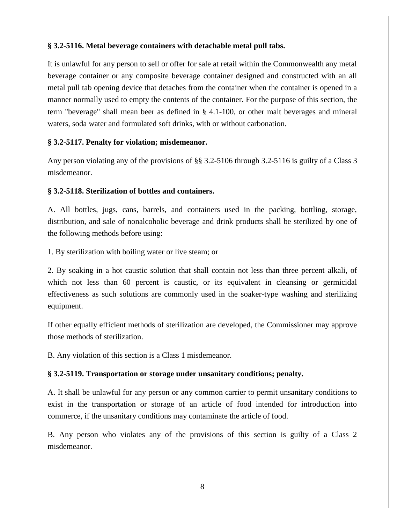#### **§ 3.2-5116. Metal beverage containers with detachable metal pull tabs.**

It is unlawful for any person to sell or offer for sale at retail within the Commonwealth any metal beverage container or any composite beverage container designed and constructed with an all metal pull tab opening device that detaches from the container when the container is opened in a manner normally used to empty the contents of the container. For the purpose of this section, the term "beverage" shall mean beer as defined in § 4.1-100, or other malt beverages and mineral waters, soda water and formulated soft drinks, with or without carbonation.

#### **§ 3.2-5117. Penalty for violation; misdemeanor.**

Any person violating any of the provisions of §§ 3.2-5106 through 3.2-5116 is guilty of a Class 3 misdemeanor.

#### **§ 3.2-5118. Sterilization of bottles and containers.**

A. All bottles, jugs, cans, barrels, and containers used in the packing, bottling, storage, distribution, and sale of nonalcoholic beverage and drink products shall be sterilized by one of the following methods before using:

1. By sterilization with boiling water or live steam; or

2. By soaking in a hot caustic solution that shall contain not less than three percent alkali, of which not less than 60 percent is caustic, or its equivalent in cleansing or germicidal effectiveness as such solutions are commonly used in the soaker-type washing and sterilizing equipment.

If other equally efficient methods of sterilization are developed, the Commissioner may approve those methods of sterilization.

B. Any violation of this section is a Class 1 misdemeanor.

# **§ 3.2-5119. Transportation or storage under unsanitary conditions; penalty.**

A. It shall be unlawful for any person or any common carrier to permit unsanitary conditions to exist in the transportation or storage of an article of food intended for introduction into commerce, if the unsanitary conditions may contaminate the article of food.

B. Any person who violates any of the provisions of this section is guilty of a Class 2 misdemeanor.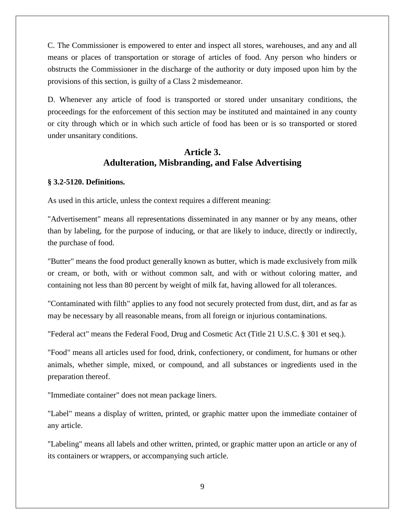C. The Commissioner is empowered to enter and inspect all stores, warehouses, and any and all means or places of transportation or storage of articles of food. Any person who hinders or obstructs the Commissioner in the discharge of the authority or duty imposed upon him by the provisions of this section, is guilty of a Class 2 misdemeanor.

D. Whenever any article of food is transported or stored under unsanitary conditions, the proceedings for the enforcement of this section may be instituted and maintained in any county or city through which or in which such article of food has been or is so transported or stored under unsanitary conditions.

# **Article 3. Adulteration, Misbranding, and False Advertising**

#### **§ 3.2-5120. Definitions.**

As used in this article, unless the context requires a different meaning:

"Advertisement" means all representations disseminated in any manner or by any means, other than by labeling, for the purpose of inducing, or that are likely to induce, directly or indirectly, the purchase of food.

"Butter" means the food product generally known as butter, which is made exclusively from milk or cream, or both, with or without common salt, and with or without coloring matter, and containing not less than 80 percent by weight of milk fat, having allowed for all tolerances.

"Contaminated with filth" applies to any food not securely protected from dust, dirt, and as far as may be necessary by all reasonable means, from all foreign or injurious contaminations.

"Federal act" means the Federal Food, Drug and Cosmetic Act (Title 21 U.S.C. § 301 et seq.).

"Food" means all articles used for food, drink, confectionery, or condiment, for humans or other animals, whether simple, mixed, or compound, and all substances or ingredients used in the preparation thereof.

"Immediate container" does not mean package liners.

"Label" means a display of written, printed, or graphic matter upon the immediate container of any article.

"Labeling" means all labels and other written, printed, or graphic matter upon an article or any of its containers or wrappers, or accompanying such article.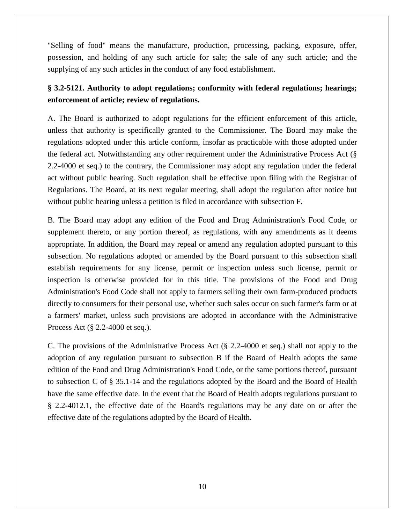"Selling of food" means the manufacture, production, processing, packing, exposure, offer, possession, and holding of any such article for sale; the sale of any such article; and the supplying of any such articles in the conduct of any food establishment.

# **§ 3.2-5121. Authority to adopt regulations; conformity with federal regulations; hearings; enforcement of article; review of regulations.**

A. The Board is authorized to adopt regulations for the efficient enforcement of this article, unless that authority is specifically granted to the Commissioner. The Board may make the regulations adopted under this article conform, insofar as practicable with those adopted under the federal act. Notwithstanding any other requirement under the Administrative Process Act (§ 2.2-4000 et seq.) to the contrary, the Commissioner may adopt any regulation under the federal act without public hearing. Such regulation shall be effective upon filing with the Registrar of Regulations. The Board, at its next regular meeting, shall adopt the regulation after notice but without public hearing unless a petition is filed in accordance with subsection F.

B. The Board may adopt any edition of the Food and Drug Administration's Food Code, or supplement thereto, or any portion thereof, as regulations, with any amendments as it deems appropriate. In addition, the Board may repeal or amend any regulation adopted pursuant to this subsection. No regulations adopted or amended by the Board pursuant to this subsection shall establish requirements for any license, permit or inspection unless such license, permit or inspection is otherwise provided for in this title. The provisions of the Food and Drug Administration's Food Code shall not apply to farmers selling their own farm-produced products directly to consumers for their personal use, whether such sales occur on such farmer's farm or at a farmers' market, unless such provisions are adopted in accordance with the Administrative Process Act (§ 2.2-4000 et seq.).

C. The provisions of the Administrative Process Act (§ 2.2-4000 et seq.) shall not apply to the adoption of any regulation pursuant to subsection B if the Board of Health adopts the same edition of the Food and Drug Administration's Food Code, or the same portions thereof, pursuant to subsection C of § 35.1-14 and the regulations adopted by the Board and the Board of Health have the same effective date. In the event that the Board of Health adopts regulations pursuant to § 2.2-4012.1, the effective date of the Board's regulations may be any date on or after the effective date of the regulations adopted by the Board of Health.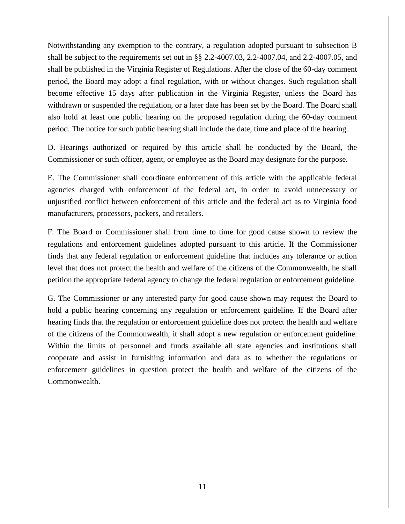Notwithstanding any exemption to the contrary, a regulation adopted pursuant to subsection B shall be subject to the requirements set out in §§ 2.2-4007.03, 2.2-4007.04, and 2.2-4007.05, and shall be published in the Virginia Register of Regulations. After the close of the 60-day comment period, the Board may adopt a final regulation, with or without changes. Such regulation shall become effective 15 days after publication in the Virginia Register, unless the Board has withdrawn or suspended the regulation, or a later date has been set by the Board. The Board shall also hold at least one public hearing on the proposed regulation during the 60-day comment period. The notice for such public hearing shall include the date, time and place of the hearing.

D. Hearings authorized or required by this article shall be conducted by the Board, the Commissioner or such officer, agent, or employee as the Board may designate for the purpose.

E. The Commissioner shall coordinate enforcement of this article with the applicable federal agencies charged with enforcement of the federal act, in order to avoid unnecessary or unjustified conflict between enforcement of this article and the federal act as to Virginia food manufacturers, processors, packers, and retailers.

F. The Board or Commissioner shall from time to time for good cause shown to review the regulations and enforcement guidelines adopted pursuant to this article. If the Commissioner finds that any federal regulation or enforcement guideline that includes any tolerance or action level that does not protect the health and welfare of the citizens of the Commonwealth, he shall petition the appropriate federal agency to change the federal regulation or enforcement guideline.

G. The Commissioner or any interested party for good cause shown may request the Board to hold a public hearing concerning any regulation or enforcement guideline. If the Board after hearing finds that the regulation or enforcement guideline does not protect the health and welfare of the citizens of the Commonwealth, it shall adopt a new regulation or enforcement guideline. Within the limits of personnel and funds available all state agencies and institutions shall cooperate and assist in furnishing information and data as to whether the regulations or enforcement guidelines in question protect the health and welfare of the citizens of the Commonwealth.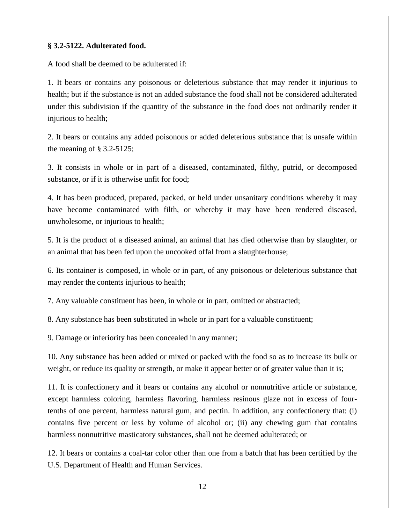#### **§ 3.2-5122. Adulterated food.**

A food shall be deemed to be adulterated if:

1. It bears or contains any poisonous or deleterious substance that may render it injurious to health; but if the substance is not an added substance the food shall not be considered adulterated under this subdivision if the quantity of the substance in the food does not ordinarily render it injurious to health;

2. It bears or contains any added poisonous or added deleterious substance that is unsafe within the meaning of § 3.2-5125;

3. It consists in whole or in part of a diseased, contaminated, filthy, putrid, or decomposed substance, or if it is otherwise unfit for food;

4. It has been produced, prepared, packed, or held under unsanitary conditions whereby it may have become contaminated with filth, or whereby it may have been rendered diseased, unwholesome, or injurious to health;

5. It is the product of a diseased animal, an animal that has died otherwise than by slaughter, or an animal that has been fed upon the uncooked offal from a slaughterhouse;

6. Its container is composed, in whole or in part, of any poisonous or deleterious substance that may render the contents injurious to health;

7. Any valuable constituent has been, in whole or in part, omitted or abstracted;

8. Any substance has been substituted in whole or in part for a valuable constituent;

9. Damage or inferiority has been concealed in any manner;

10. Any substance has been added or mixed or packed with the food so as to increase its bulk or weight, or reduce its quality or strength, or make it appear better or of greater value than it is;

11. It is confectionery and it bears or contains any alcohol or nonnutritive article or substance, except harmless coloring, harmless flavoring, harmless resinous glaze not in excess of fourtenths of one percent, harmless natural gum, and pectin. In addition, any confectionery that: (i) contains five percent or less by volume of alcohol or; (ii) any chewing gum that contains harmless nonnutritive masticatory substances, shall not be deemed adulterated; or

12. It bears or contains a coal-tar color other than one from a batch that has been certified by the U.S. Department of Health and Human Services.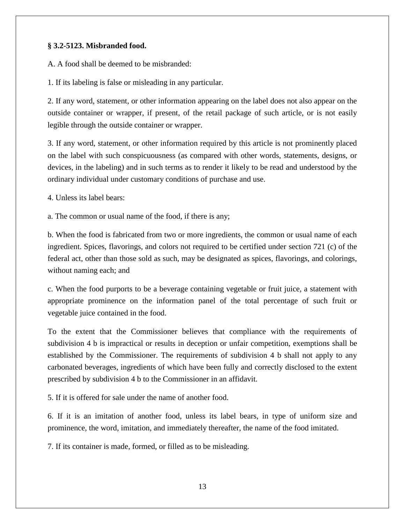# **§ 3.2-5123. Misbranded food.**

A. A food shall be deemed to be misbranded:

1. If its labeling is false or misleading in any particular.

2. If any word, statement, or other information appearing on the label does not also appear on the outside container or wrapper, if present, of the retail package of such article, or is not easily legible through the outside container or wrapper.

3. If any word, statement, or other information required by this article is not prominently placed on the label with such conspicuousness (as compared with other words, statements, designs, or devices, in the labeling) and in such terms as to render it likely to be read and understood by the ordinary individual under customary conditions of purchase and use.

4. Unless its label bears:

a. The common or usual name of the food, if there is any;

b. When the food is fabricated from two or more ingredients, the common or usual name of each ingredient. Spices, flavorings, and colors not required to be certified under section 721 (c) of the federal act, other than those sold as such, may be designated as spices, flavorings, and colorings, without naming each; and

c. When the food purports to be a beverage containing vegetable or fruit juice, a statement with appropriate prominence on the information panel of the total percentage of such fruit or vegetable juice contained in the food.

To the extent that the Commissioner believes that compliance with the requirements of subdivision 4 b is impractical or results in deception or unfair competition, exemptions shall be established by the Commissioner. The requirements of subdivision 4 b shall not apply to any carbonated beverages, ingredients of which have been fully and correctly disclosed to the extent prescribed by subdivision 4 b to the Commissioner in an affidavit.

5. If it is offered for sale under the name of another food.

6. If it is an imitation of another food, unless its label bears, in type of uniform size and prominence, the word, imitation, and immediately thereafter, the name of the food imitated.

7. If its container is made, formed, or filled as to be misleading.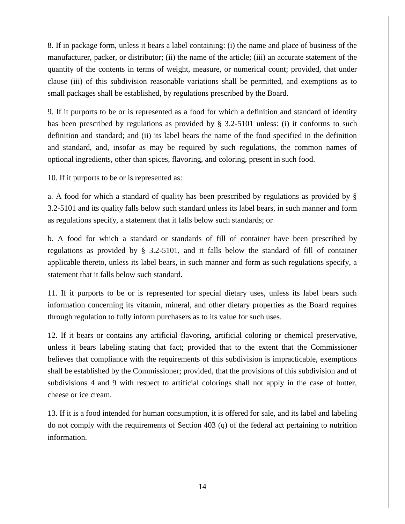8. If in package form, unless it bears a label containing: (i) the name and place of business of the manufacturer, packer, or distributor; (ii) the name of the article; (iii) an accurate statement of the quantity of the contents in terms of weight, measure, or numerical count; provided, that under clause (iii) of this subdivision reasonable variations shall be permitted, and exemptions as to small packages shall be established, by regulations prescribed by the Board.

9. If it purports to be or is represented as a food for which a definition and standard of identity has been prescribed by regulations as provided by § 3.2-5101 unless: (i) it conforms to such definition and standard; and (ii) its label bears the name of the food specified in the definition and standard, and, insofar as may be required by such regulations, the common names of optional ingredients, other than spices, flavoring, and coloring, present in such food.

10. If it purports to be or is represented as:

a. A food for which a standard of quality has been prescribed by regulations as provided by § 3.2-5101 and its quality falls below such standard unless its label bears, in such manner and form as regulations specify, a statement that it falls below such standards; or

b. A food for which a standard or standards of fill of container have been prescribed by regulations as provided by § 3.2-5101, and it falls below the standard of fill of container applicable thereto, unless its label bears, in such manner and form as such regulations specify, a statement that it falls below such standard.

11. If it purports to be or is represented for special dietary uses, unless its label bears such information concerning its vitamin, mineral, and other dietary properties as the Board requires through regulation to fully inform purchasers as to its value for such uses.

12. If it bears or contains any artificial flavoring, artificial coloring or chemical preservative, unless it bears labeling stating that fact; provided that to the extent that the Commissioner believes that compliance with the requirements of this subdivision is impracticable, exemptions shall be established by the Commissioner; provided, that the provisions of this subdivision and of subdivisions 4 and 9 with respect to artificial colorings shall not apply in the case of butter, cheese or ice cream.

13. If it is a food intended for human consumption, it is offered for sale, and its label and labeling do not comply with the requirements of Section 403 (q) of the federal act pertaining to nutrition information.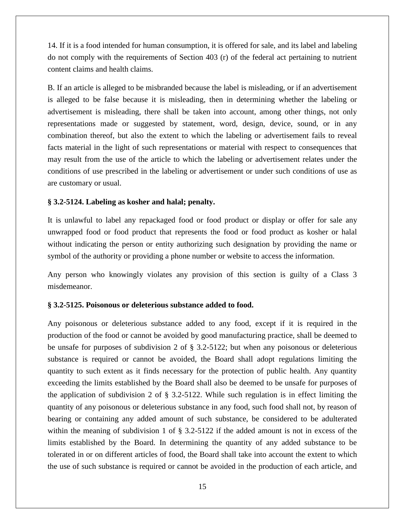14. If it is a food intended for human consumption, it is offered for sale, and its label and labeling do not comply with the requirements of Section 403 (r) of the federal act pertaining to nutrient content claims and health claims.

B. If an article is alleged to be misbranded because the label is misleading, or if an advertisement is alleged to be false because it is misleading, then in determining whether the labeling or advertisement is misleading, there shall be taken into account, among other things, not only representations made or suggested by statement, word, design, device, sound, or in any combination thereof, but also the extent to which the labeling or advertisement fails to reveal facts material in the light of such representations or material with respect to consequences that may result from the use of the article to which the labeling or advertisement relates under the conditions of use prescribed in the labeling or advertisement or under such conditions of use as are customary or usual.

#### **§ 3.2-5124. Labeling as kosher and halal; penalty.**

It is unlawful to label any repackaged food or food product or display or offer for sale any unwrapped food or food product that represents the food or food product as kosher or halal without indicating the person or entity authorizing such designation by providing the name or symbol of the authority or providing a phone number or website to access the information.

Any person who knowingly violates any provision of this section is guilty of a Class 3 misdemeanor.

#### **§ 3.2-5125. Poisonous or deleterious substance added to food.**

Any poisonous or deleterious substance added to any food, except if it is required in the production of the food or cannot be avoided by good manufacturing practice, shall be deemed to be unsafe for purposes of subdivision 2 of § 3.2-5122; but when any poisonous or deleterious substance is required or cannot be avoided, the Board shall adopt regulations limiting the quantity to such extent as it finds necessary for the protection of public health. Any quantity exceeding the limits established by the Board shall also be deemed to be unsafe for purposes of the application of subdivision 2 of  $\S$  3.2-5122. While such regulation is in effect limiting the quantity of any poisonous or deleterious substance in any food, such food shall not, by reason of bearing or containing any added amount of such substance, be considered to be adulterated within the meaning of subdivision 1 of § 3.2-5122 if the added amount is not in excess of the limits established by the Board. In determining the quantity of any added substance to be tolerated in or on different articles of food, the Board shall take into account the extent to which the use of such substance is required or cannot be avoided in the production of each article, and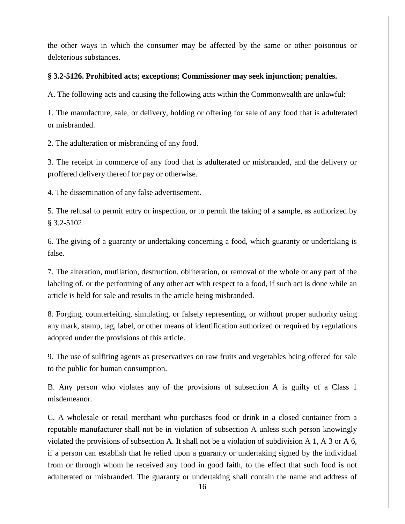the other ways in which the consumer may be affected by the same or other poisonous or deleterious substances.

## **§ 3.2-5126. Prohibited acts; exceptions; Commissioner may seek injunction; penalties.**

A. The following acts and causing the following acts within the Commonwealth are unlawful:

1. The manufacture, sale, or delivery, holding or offering for sale of any food that is adulterated or misbranded.

2. The adulteration or misbranding of any food.

3. The receipt in commerce of any food that is adulterated or misbranded, and the delivery or proffered delivery thereof for pay or otherwise.

4. The dissemination of any false advertisement.

5. The refusal to permit entry or inspection, or to permit the taking of a sample, as authorized by § 3.2-5102.

6. The giving of a guaranty or undertaking concerning a food, which guaranty or undertaking is false.

7. The alteration, mutilation, destruction, obliteration, or removal of the whole or any part of the labeling of, or the performing of any other act with respect to a food, if such act is done while an article is held for sale and results in the article being misbranded.

8. Forging, counterfeiting, simulating, or falsely representing, or without proper authority using any mark, stamp, tag, label, or other means of identification authorized or required by regulations adopted under the provisions of this article.

9. The use of sulfiting agents as preservatives on raw fruits and vegetables being offered for sale to the public for human consumption.

B. Any person who violates any of the provisions of subsection A is guilty of a Class 1 misdemeanor.

C. A wholesale or retail merchant who purchases food or drink in a closed container from a reputable manufacturer shall not be in violation of subsection A unless such person knowingly violated the provisions of subsection A. It shall not be a violation of subdivision A 1, A 3 or A 6, if a person can establish that he relied upon a guaranty or undertaking signed by the individual from or through whom he received any food in good faith, to the effect that such food is not adulterated or misbranded. The guaranty or undertaking shall contain the name and address of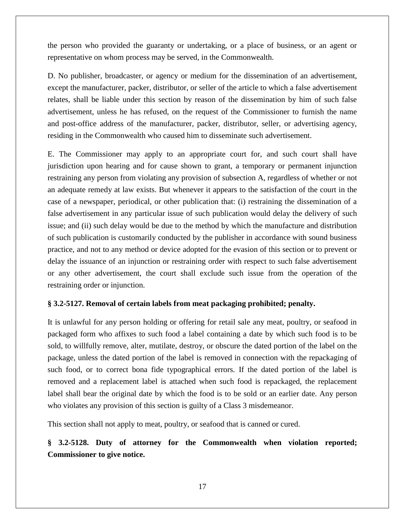the person who provided the guaranty or undertaking, or a place of business, or an agent or representative on whom process may be served, in the Commonwealth.

D. No publisher, broadcaster, or agency or medium for the dissemination of an advertisement, except the manufacturer, packer, distributor, or seller of the article to which a false advertisement relates, shall be liable under this section by reason of the dissemination by him of such false advertisement, unless he has refused, on the request of the Commissioner to furnish the name and post-office address of the manufacturer, packer, distributor, seller, or advertising agency, residing in the Commonwealth who caused him to disseminate such advertisement.

E. The Commissioner may apply to an appropriate court for, and such court shall have jurisdiction upon hearing and for cause shown to grant, a temporary or permanent injunction restraining any person from violating any provision of subsection A, regardless of whether or not an adequate remedy at law exists. But whenever it appears to the satisfaction of the court in the case of a newspaper, periodical, or other publication that: (i) restraining the dissemination of a false advertisement in any particular issue of such publication would delay the delivery of such issue; and (ii) such delay would be due to the method by which the manufacture and distribution of such publication is customarily conducted by the publisher in accordance with sound business practice, and not to any method or device adopted for the evasion of this section or to prevent or delay the issuance of an injunction or restraining order with respect to such false advertisement or any other advertisement, the court shall exclude such issue from the operation of the restraining order or injunction.

# **§ 3.2-5127. Removal of certain labels from meat packaging prohibited; penalty.**

It is unlawful for any person holding or offering for retail sale any meat, poultry, or seafood in packaged form who affixes to such food a label containing a date by which such food is to be sold, to willfully remove, alter, mutilate, destroy, or obscure the dated portion of the label on the package, unless the dated portion of the label is removed in connection with the repackaging of such food, or to correct bona fide typographical errors. If the dated portion of the label is removed and a replacement label is attached when such food is repackaged, the replacement label shall bear the original date by which the food is to be sold or an earlier date. Any person who violates any provision of this section is guilty of a Class 3 misdemeanor.

This section shall not apply to meat, poultry, or seafood that is canned or cured.

**§ 3.2-5128. Duty of attorney for the Commonwealth when violation reported; Commissioner to give notice.**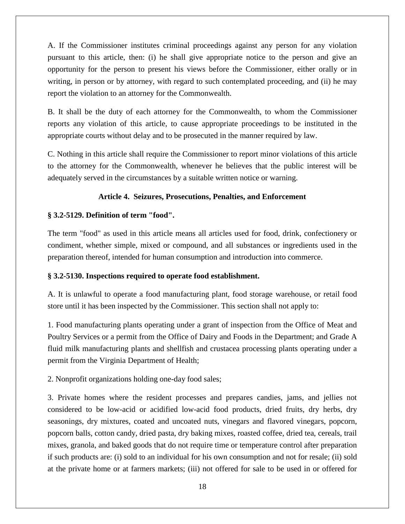A. If the Commissioner institutes criminal proceedings against any person for any violation pursuant to this article, then: (i) he shall give appropriate notice to the person and give an opportunity for the person to present his views before the Commissioner, either orally or in writing, in person or by attorney, with regard to such contemplated proceeding, and (ii) he may report the violation to an attorney for the Commonwealth.

B. It shall be the duty of each attorney for the Commonwealth, to whom the Commissioner reports any violation of this article, to cause appropriate proceedings to be instituted in the appropriate courts without delay and to be prosecuted in the manner required by law.

C. Nothing in this article shall require the Commissioner to report minor violations of this article to the attorney for the Commonwealth, whenever he believes that the public interest will be adequately served in the circumstances by a suitable written notice or warning.

# **Article 4. Seizures, Prosecutions, Penalties, and Enforcement**

# **§ 3.2-5129. Definition of term "food".**

The term "food" as used in this article means all articles used for food, drink, confectionery or condiment, whether simple, mixed or compound, and all substances or ingredients used in the preparation thereof, intended for human consumption and introduction into commerce.

# **§ 3.2-5130. Inspections required to operate food establishment.**

A. It is unlawful to operate a food manufacturing plant, food storage warehouse, or retail food store until it has been inspected by the Commissioner. This section shall not apply to:

1. Food manufacturing plants operating under a grant of inspection from the Office of Meat and Poultry Services or a permit from the Office of Dairy and Foods in the Department; and Grade A fluid milk manufacturing plants and shellfish and crustacea processing plants operating under a permit from the Virginia Department of Health;

2. Nonprofit organizations holding one-day food sales;

3. Private homes where the resident processes and prepares candies, jams, and jellies not considered to be low-acid or acidified low-acid food products, dried fruits, dry herbs, dry seasonings, dry mixtures, coated and uncoated nuts, vinegars and flavored vinegars, popcorn, popcorn balls, cotton candy, dried pasta, dry baking mixes, roasted coffee, dried tea, cereals, trail mixes, granola, and baked goods that do not require time or temperature control after preparation if such products are: (i) sold to an individual for his own consumption and not for resale; (ii) sold at the private home or at farmers markets; (iii) not offered for sale to be used in or offered for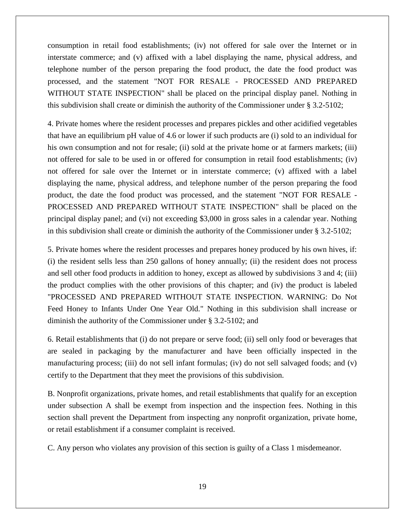consumption in retail food establishments; (iv) not offered for sale over the Internet or in interstate commerce; and (v) affixed with a label displaying the name, physical address, and telephone number of the person preparing the food product, the date the food product was processed, and the statement "NOT FOR RESALE - PROCESSED AND PREPARED WITHOUT STATE INSPECTION" shall be placed on the principal display panel. Nothing in this subdivision shall create or diminish the authority of the Commissioner under § 3.2-5102;

4. Private homes where the resident processes and prepares pickles and other acidified vegetables that have an equilibrium pH value of 4.6 or lower if such products are (i) sold to an individual for his own consumption and not for resale; (ii) sold at the private home or at farmers markets; (iii) not offered for sale to be used in or offered for consumption in retail food establishments; (iv) not offered for sale over the Internet or in interstate commerce; (v) affixed with a label displaying the name, physical address, and telephone number of the person preparing the food product, the date the food product was processed, and the statement "NOT FOR RESALE - PROCESSED AND PREPARED WITHOUT STATE INSPECTION" shall be placed on the principal display panel; and (vi) not exceeding \$3,000 in gross sales in a calendar year. Nothing in this subdivision shall create or diminish the authority of the Commissioner under § 3.2-5102;

5. Private homes where the resident processes and prepares honey produced by his own hives, if: (i) the resident sells less than 250 gallons of honey annually; (ii) the resident does not process and sell other food products in addition to honey, except as allowed by subdivisions 3 and 4; (iii) the product complies with the other provisions of this chapter; and (iv) the product is labeled "PROCESSED AND PREPARED WITHOUT STATE INSPECTION. WARNING: Do Not Feed Honey to Infants Under One Year Old." Nothing in this subdivision shall increase or diminish the authority of the Commissioner under § 3.2-5102; and

6. Retail establishments that (i) do not prepare or serve food; (ii) sell only food or beverages that are sealed in packaging by the manufacturer and have been officially inspected in the manufacturing process; (iii) do not sell infant formulas; (iv) do not sell salvaged foods; and (v) certify to the Department that they meet the provisions of this subdivision.

B. Nonprofit organizations, private homes, and retail establishments that qualify for an exception under subsection A shall be exempt from inspection and the inspection fees. Nothing in this section shall prevent the Department from inspecting any nonprofit organization, private home, or retail establishment if a consumer complaint is received.

C. Any person who violates any provision of this section is guilty of a Class 1 misdemeanor.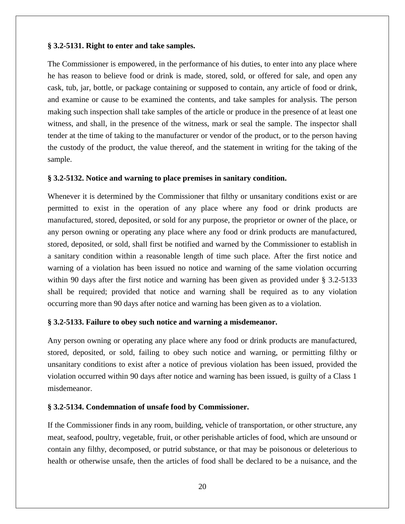#### **§ 3.2-5131. Right to enter and take samples.**

The Commissioner is empowered, in the performance of his duties, to enter into any place where he has reason to believe food or drink is made, stored, sold, or offered for sale, and open any cask, tub, jar, bottle, or package containing or supposed to contain, any article of food or drink, and examine or cause to be examined the contents, and take samples for analysis. The person making such inspection shall take samples of the article or produce in the presence of at least one witness, and shall, in the presence of the witness, mark or seal the sample. The inspector shall tender at the time of taking to the manufacturer or vendor of the product, or to the person having the custody of the product, the value thereof, and the statement in writing for the taking of the sample.

#### **§ 3.2-5132. Notice and warning to place premises in sanitary condition.**

Whenever it is determined by the Commissioner that filthy or unsanitary conditions exist or are permitted to exist in the operation of any place where any food or drink products are manufactured, stored, deposited, or sold for any purpose, the proprietor or owner of the place, or any person owning or operating any place where any food or drink products are manufactured, stored, deposited, or sold, shall first be notified and warned by the Commissioner to establish in a sanitary condition within a reasonable length of time such place. After the first notice and warning of a violation has been issued no notice and warning of the same violation occurring within 90 days after the first notice and warning has been given as provided under § 3.2-5133 shall be required; provided that notice and warning shall be required as to any violation occurring more than 90 days after notice and warning has been given as to a violation.

#### **§ 3.2-5133. Failure to obey such notice and warning a misdemeanor.**

Any person owning or operating any place where any food or drink products are manufactured, stored, deposited, or sold, failing to obey such notice and warning, or permitting filthy or unsanitary conditions to exist after a notice of previous violation has been issued, provided the violation occurred within 90 days after notice and warning has been issued, is guilty of a Class 1 misdemeanor.

#### **§ 3.2-5134. Condemnation of unsafe food by Commissioner.**

If the Commissioner finds in any room, building, vehicle of transportation, or other structure, any meat, seafood, poultry, vegetable, fruit, or other perishable articles of food, which are unsound or contain any filthy, decomposed, or putrid substance, or that may be poisonous or deleterious to health or otherwise unsafe, then the articles of food shall be declared to be a nuisance, and the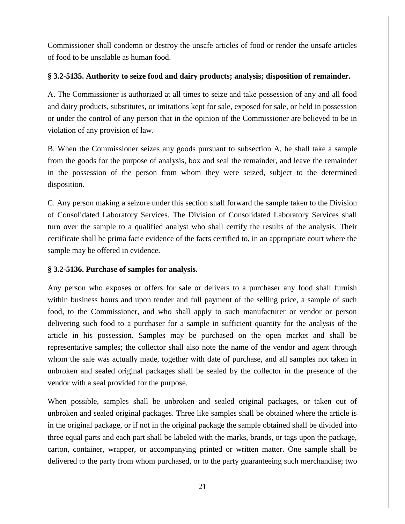Commissioner shall condemn or destroy the unsafe articles of food or render the unsafe articles of food to be unsalable as human food.

# **§ 3.2-5135. Authority to seize food and dairy products; analysis; disposition of remainder.**

A. The Commissioner is authorized at all times to seize and take possession of any and all food and dairy products, substitutes, or imitations kept for sale, exposed for sale, or held in possession or under the control of any person that in the opinion of the Commissioner are believed to be in violation of any provision of law.

B. When the Commissioner seizes any goods pursuant to subsection A, he shall take a sample from the goods for the purpose of analysis, box and seal the remainder, and leave the remainder in the possession of the person from whom they were seized, subject to the determined disposition.

C. Any person making a seizure under this section shall forward the sample taken to the Division of Consolidated Laboratory Services. The Division of Consolidated Laboratory Services shall turn over the sample to a qualified analyst who shall certify the results of the analysis. Their certificate shall be prima facie evidence of the facts certified to, in an appropriate court where the sample may be offered in evidence.

# **§ 3.2-5136. Purchase of samples for analysis.**

Any person who exposes or offers for sale or delivers to a purchaser any food shall furnish within business hours and upon tender and full payment of the selling price, a sample of such food, to the Commissioner, and who shall apply to such manufacturer or vendor or person delivering such food to a purchaser for a sample in sufficient quantity for the analysis of the article in his possession. Samples may be purchased on the open market and shall be representative samples; the collector shall also note the name of the vendor and agent through whom the sale was actually made, together with date of purchase, and all samples not taken in unbroken and sealed original packages shall be sealed by the collector in the presence of the vendor with a seal provided for the purpose.

When possible, samples shall be unbroken and sealed original packages, or taken out of unbroken and sealed original packages. Three like samples shall be obtained where the article is in the original package, or if not in the original package the sample obtained shall be divided into three equal parts and each part shall be labeled with the marks, brands, or tags upon the package, carton, container, wrapper, or accompanying printed or written matter. One sample shall be delivered to the party from whom purchased, or to the party guaranteeing such merchandise; two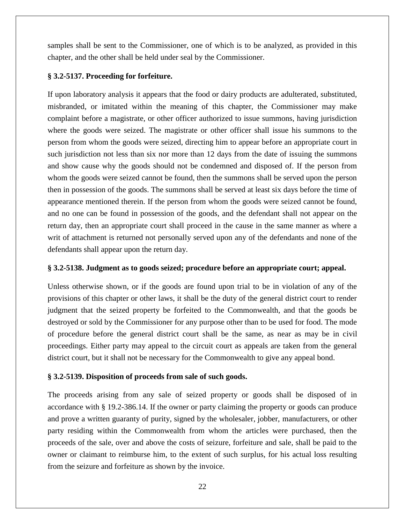samples shall be sent to the Commissioner, one of which is to be analyzed, as provided in this chapter, and the other shall be held under seal by the Commissioner.

# **§ 3.2-5137. Proceeding for forfeiture.**

If upon laboratory analysis it appears that the food or dairy products are adulterated, substituted, misbranded, or imitated within the meaning of this chapter, the Commissioner may make complaint before a magistrate, or other officer authorized to issue summons, having jurisdiction where the goods were seized. The magistrate or other officer shall issue his summons to the person from whom the goods were seized, directing him to appear before an appropriate court in such jurisdiction not less than six nor more than 12 days from the date of issuing the summons and show cause why the goods should not be condemned and disposed of. If the person from whom the goods were seized cannot be found, then the summons shall be served upon the person then in possession of the goods. The summons shall be served at least six days before the time of appearance mentioned therein. If the person from whom the goods were seized cannot be found, and no one can be found in possession of the goods, and the defendant shall not appear on the return day, then an appropriate court shall proceed in the cause in the same manner as where a writ of attachment is returned not personally served upon any of the defendants and none of the defendants shall appear upon the return day.

# **§ 3.2-5138. Judgment as to goods seized; procedure before an appropriate court; appeal.**

Unless otherwise shown, or if the goods are found upon trial to be in violation of any of the provisions of this chapter or other laws, it shall be the duty of the general district court to render judgment that the seized property be forfeited to the Commonwealth, and that the goods be destroyed or sold by the Commissioner for any purpose other than to be used for food. The mode of procedure before the general district court shall be the same, as near as may be in civil proceedings. Either party may appeal to the circuit court as appeals are taken from the general district court, but it shall not be necessary for the Commonwealth to give any appeal bond.

# **§ 3.2-5139. Disposition of proceeds from sale of such goods.**

The proceeds arising from any sale of seized property or goods shall be disposed of in accordance with § 19.2-386.14. If the owner or party claiming the property or goods can produce and prove a written guaranty of purity, signed by the wholesaler, jobber, manufacturers, or other party residing within the Commonwealth from whom the articles were purchased, then the proceeds of the sale, over and above the costs of seizure, forfeiture and sale, shall be paid to the owner or claimant to reimburse him, to the extent of such surplus, for his actual loss resulting from the seizure and forfeiture as shown by the invoice.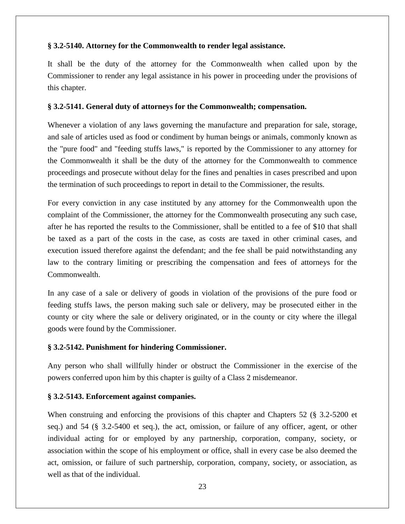## **§ 3.2-5140. Attorney for the Commonwealth to render legal assistance.**

It shall be the duty of the attorney for the Commonwealth when called upon by the Commissioner to render any legal assistance in his power in proceeding under the provisions of this chapter.

#### **§ 3.2-5141. General duty of attorneys for the Commonwealth; compensation.**

Whenever a violation of any laws governing the manufacture and preparation for sale, storage, and sale of articles used as food or condiment by human beings or animals, commonly known as the "pure food" and "feeding stuffs laws," is reported by the Commissioner to any attorney for the Commonwealth it shall be the duty of the attorney for the Commonwealth to commence proceedings and prosecute without delay for the fines and penalties in cases prescribed and upon the termination of such proceedings to report in detail to the Commissioner, the results.

For every conviction in any case instituted by any attorney for the Commonwealth upon the complaint of the Commissioner, the attorney for the Commonwealth prosecuting any such case, after he has reported the results to the Commissioner, shall be entitled to a fee of \$10 that shall be taxed as a part of the costs in the case, as costs are taxed in other criminal cases, and execution issued therefore against the defendant; and the fee shall be paid notwithstanding any law to the contrary limiting or prescribing the compensation and fees of attorneys for the Commonwealth.

In any case of a sale or delivery of goods in violation of the provisions of the pure food or feeding stuffs laws, the person making such sale or delivery, may be prosecuted either in the county or city where the sale or delivery originated, or in the county or city where the illegal goods were found by the Commissioner.

# **§ 3.2-5142. Punishment for hindering Commissioner.**

Any person who shall willfully hinder or obstruct the Commissioner in the exercise of the powers conferred upon him by this chapter is guilty of a Class 2 misdemeanor.

# **§ 3.2-5143. Enforcement against companies.**

When construing and enforcing the provisions of this chapter and Chapters 52 (§ 3.2-5200 et seq.) and 54 (§ 3.2-5400 et seq.), the act, omission, or failure of any officer, agent, or other individual acting for or employed by any partnership, corporation, company, society, or association within the scope of his employment or office, shall in every case be also deemed the act, omission, or failure of such partnership, corporation, company, society, or association, as well as that of the individual.